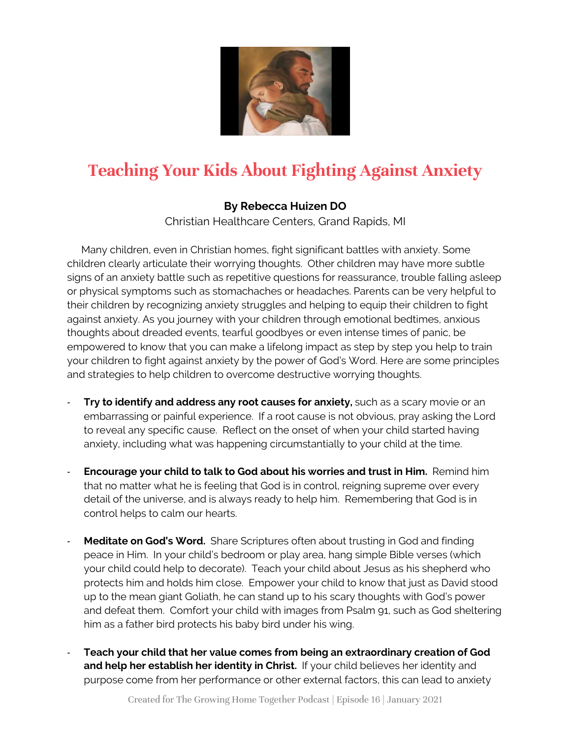

# **Teaching Your Kids About Fighting Against Anxiety**

## **By Rebecca Huizen DO**

Christian Healthcare Centers, Grand Rapids, MI

 Many children, even in Christian homes, fight significant battles with anxiety. Some children clearly articulate their worrying thoughts. Other children may have more subtle signs of an anxiety battle such as repetitive questions for reassurance, trouble falling asleep or physical symptoms such as stomachaches or headaches. Parents can be very helpful to their children by recognizing anxiety struggles and helping to equip their children to fight against anxiety. As you journey with your children through emotional bedtimes, anxious thoughts about dreaded events, tearful goodbyes or even intense times of panic, be empowered to know that you can make a lifelong impact as step by step you help to train your children to fight against anxiety by the power of God's Word. Here are some principles and strategies to help children to overcome destructive worrying thoughts.

- **Try to identify and address any root causes for anxiety,** such as a scary movie or an embarrassing or painful experience. If a root cause is not obvious, pray asking the Lord to reveal any specific cause. Reflect on the onset of when your child started having anxiety, including what was happening circumstantially to your child at the time.
- **Encourage your child to talk to God about his worries and trust in Him.** Remind him that no matter what he is feeling that God is in control, reigning supreme over every detail of the universe, and is always ready to help him. Remembering that God is in control helps to calm our hearts.
- **Meditate on God's Word.** Share Scriptures often about trusting in God and finding peace in Him. In your child's bedroom or play area, hang simple Bible verses (which your child could help to decorate). Teach your child about Jesus as his shepherd who protects him and holds him close. Empower your child to know that just as David stood up to the mean giant Goliath, he can stand up to his scary thoughts with God's power and defeat them. Comfort your child with images from Psalm 91, such as God sheltering him as a father bird protects his baby bird under his wing.
- **Teach your child that her value comes from being an extraordinary creation of God and help her establish her identity in Christ.** If your child believes her identity and purpose come from her performance or other external factors, this can lead to anxiety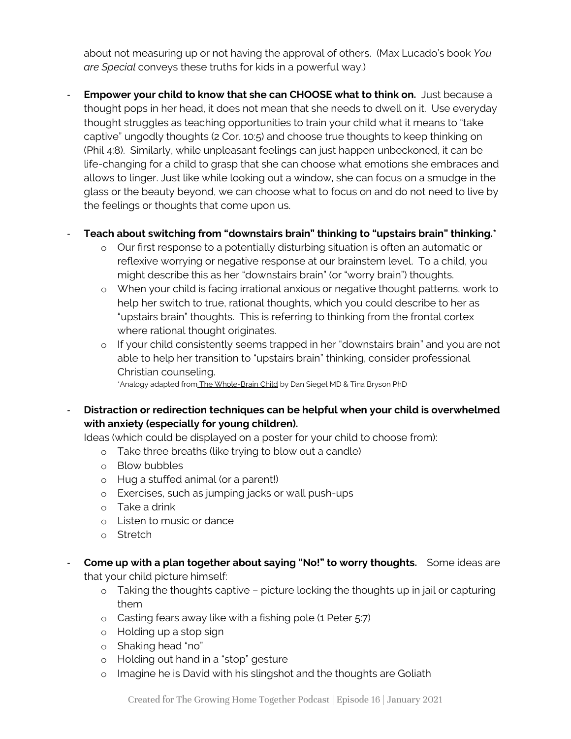about not measuring up or not having the approval of others. (Max Lucado's book *You are Special* conveys these truths for kids in a powerful way.)

**Empower your child to know that she can CHOOSE what to think on.** Just because a thought pops in her head, it does not mean that she needs to dwell on it. Use everyday thought struggles as teaching opportunities to train your child what it means to "take captive" ungodly thoughts (2 Cor. 10:5) and choose true thoughts to keep thinking on (Phil 4:8). Similarly, while unpleasant feelings can just happen unbeckoned, it can be life-changing for a child to grasp that she can choose what emotions she embraces and allows to linger. Just like while looking out a window, she can focus on a smudge in the glass or the beauty beyond, we can choose what to focus on and do not need to live by the feelings or thoughts that come upon us.

#### - **Teach about switching from "downstairs brain" thinking to "upstairs brain" thinking.\***

- o Our first response to a potentially disturbing situation is often an automatic or reflexive worrying or negative response at our brainstem level. To a child, you might describe this as her "downstairs brain" (or "worry brain") thoughts.
- o When your child is facing irrational anxious or negative thought patterns, work to help her switch to true, rational thoughts, which you could describe to her as "upstairs brain" thoughts. This is referring to thinking from the frontal cortex where rational thought originates.
- o If your child consistently seems trapped in her "downstairs brain" and you are not able to help her transition to "upstairs brain" thinking, consider professional Christian counseling.

\*Analogy adapted from The Whole-Brain Child by Dan Siegel MD & Tina Bryson PhD

- **Distraction or redirection techniques can be helpful when your child is overwhelmed with anxiety (especially for young children).**

Ideas (which could be displayed on a poster for your child to choose from):

- o Take three breaths (like trying to blow out a candle)
- o Blow bubbles
- o Hug a stuffed animal (or a parent!)
- o Exercises, such as jumping jacks or wall push-ups
- o Take a drink
- o Listen to music or dance
- o Stretch
- **Come up with a plan together about saying "No!" to worry thoughts.** Some ideas are that your child picture himself:
	- o Taking the thoughts captive picture locking the thoughts up in jail or capturing them
	- o Casting fears away like with a fishing pole (1 Peter 5:7)
	- o Holding up a stop sign
	- o Shaking head "no"
	- o Holding out hand in a "stop" gesture
	- o Imagine he is David with his slingshot and the thoughts are Goliath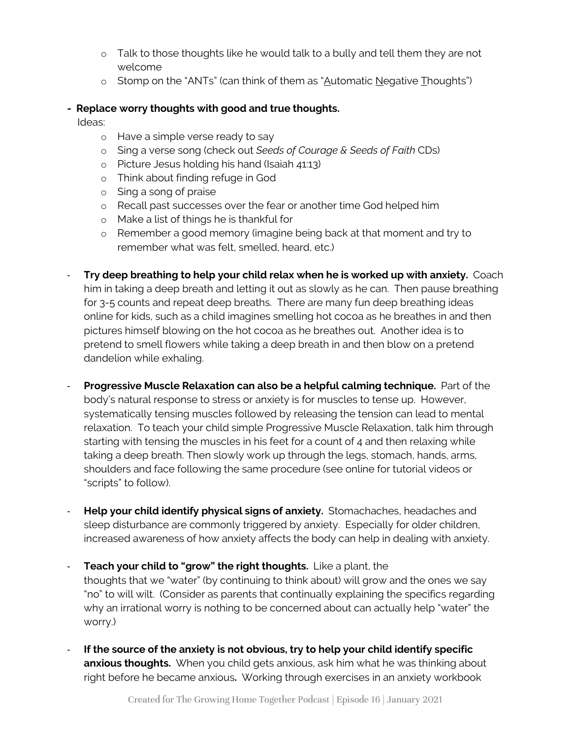- o Talk to those thoughts like he would talk to a bully and tell them they are not welcome
- o Stomp on the "ANTs" (can think of them as "Automatic Negative Thoughts")

#### **- Replace worry thoughts with good and true thoughts.**

Ideas:

- o Have a simple verse ready to say
- o Sing a verse song (check out *Seeds of Courage & Seeds of Faith* CDs)
- o Picture Jesus holding his hand (Isaiah 41:13)
- o Think about finding refuge in God
- o Sing a song of praise
- o Recall past successes over the fear or another time God helped him
- o Make a list of things he is thankful for
- o Remember a good memory (imagine being back at that moment and try to remember what was felt, smelled, heard, etc.)
- **Try deep breathing to help your child relax when he is worked up with anxiety.** Coach him in taking a deep breath and letting it out as slowly as he can. Then pause breathing for 3-5 counts and repeat deep breaths. There are many fun deep breathing ideas online for kids, such as a child imagines smelling hot cocoa as he breathes in and then pictures himself blowing on the hot cocoa as he breathes out. Another idea is to pretend to smell flowers while taking a deep breath in and then blow on a pretend dandelion while exhaling.
- **Progressive Muscle Relaxation can also be a helpful calming technique.** Part of the body's natural response to stress or anxiety is for muscles to tense up. However, systematically tensing muscles followed by releasing the tension can lead to mental relaxation. To teach your child simple Progressive Muscle Relaxation, talk him through starting with tensing the muscles in his feet for a count of 4 and then relaxing while taking a deep breath. Then slowly work up through the legs, stomach, hands, arms, shoulders and face following the same procedure (see online for tutorial videos or "scripts" to follow).
- **Help your child identify physical signs of anxiety.** Stomachaches, headaches and sleep disturbance are commonly triggered by anxiety. Especially for older children, increased awareness of how anxiety affects the body can help in dealing with anxiety.
- **Teach your child to "grow" the right thoughts.** Like a plant, the thoughts that we "water" (by continuing to think about) will grow and the ones we say "no" to will wilt. (Consider as parents that continually explaining the specifics regarding why an irrational worry is nothing to be concerned about can actually help "water" the worry.)
- **If the source of the anxiety is not obvious, try to help your child identify specific anxious thoughts.** When you child gets anxious, ask him what he was thinking about right before he became anxious**.** Working through exercises in an anxiety workbook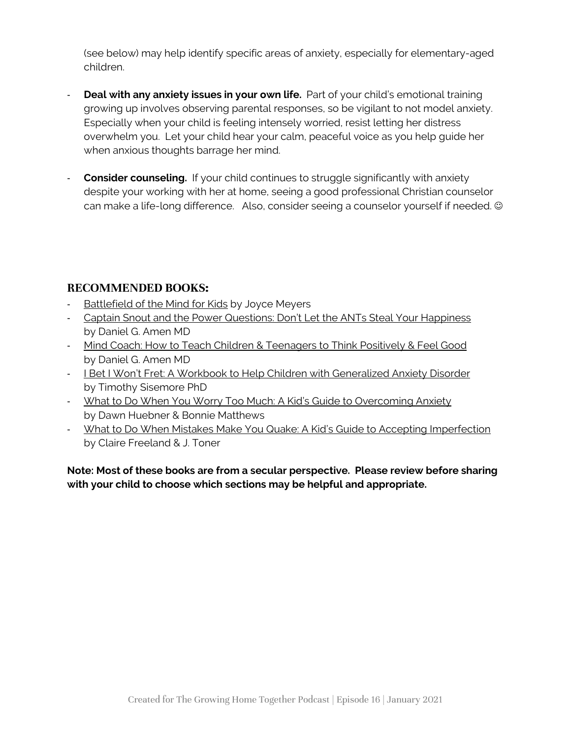(see below) may help identify specific areas of anxiety, especially for elementary-aged children.

- **Deal with any anxiety issues in your own life.** Part of your child's emotional training growing up involves observing parental responses, so be vigilant to not model anxiety. Especially when your child is feeling intensely worried, resist letting her distress overwhelm you. Let your child hear your calm, peaceful voice as you help guide her when anxious thoughts barrage her mind.
- **Consider counseling.** If your child continues to struggle significantly with anxiety despite your working with her at home, seeing a good professional Christian counselor can make a life-long difference. Also, consider seeing a counselor yourself if needed.  $\odot$

## **RECOMMENDED BOOKS:**

- Battlefield of the Mind for Kids by Joyce Meyers
- Captain Snout and the Power Questions: Don't Let the ANTs Steal Your Happiness by Daniel G. Amen MD
- Mind Coach: How to Teach Children & Teenagers to Think Positively & Feel Good by Daniel G. Amen MD
- I Bet I Won't Fret: A Workbook to Help Children with Generalized Anxiety Disorder by Timothy Sisemore PhD
- What to Do When You Worry Too Much: A Kid's Guide to Overcoming Anxiety by Dawn Huebner & Bonnie Matthews
- What to Do When Mistakes Make You Quake: A Kid's Guide to Accepting Imperfection by Claire Freeland & J. Toner

**Note: Most of these books are from a secular perspective. Please review before sharing with your child to choose which sections may be helpful and appropriate.**